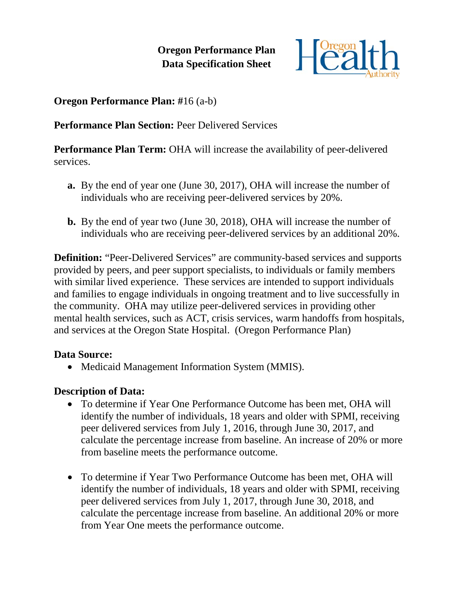**Oregon Performance Plan Data Specification Sheet**



**Oregon Performance Plan: #**16 (a-b)

**Performance Plan Section: Peer Delivered Services** 

**Performance Plan Term:** OHA will increase the availability of peer-delivered services.

- **a.** By the end of year one (June 30, 2017), OHA will increase the number of individuals who are receiving peer-delivered services by 20%.
- **b.** By the end of year two (June 30, 2018), OHA will increase the number of individuals who are receiving peer-delivered services by an additional 20%.

**Definition:** "Peer-Delivered Services" are community-based services and supports provided by peers, and peer support specialists, to individuals or family members with similar lived experience. These services are intended to support individuals and families to engage individuals in ongoing treatment and to live successfully in the community. OHA may utilize peer-delivered services in providing other mental health services, such as ACT, crisis services, warm handoffs from hospitals, and services at the Oregon State Hospital. (Oregon Performance Plan)

# **Data Source:**

• Medicaid Management Information System (MMIS).

# **Description of Data:**

- To determine if Year One Performance Outcome has been met, OHA will identify the number of individuals, 18 years and older with SPMI, receiving peer delivered services from July 1, 2016, through June 30, 2017, and calculate the percentage increase from baseline. An increase of 20% or more from baseline meets the performance outcome.
- To determine if Year Two Performance Outcome has been met, OHA will identify the number of individuals, 18 years and older with SPMI, receiving peer delivered services from July 1, 2017, through June 30, 2018, and calculate the percentage increase from baseline. An additional 20% or more from Year One meets the performance outcome.